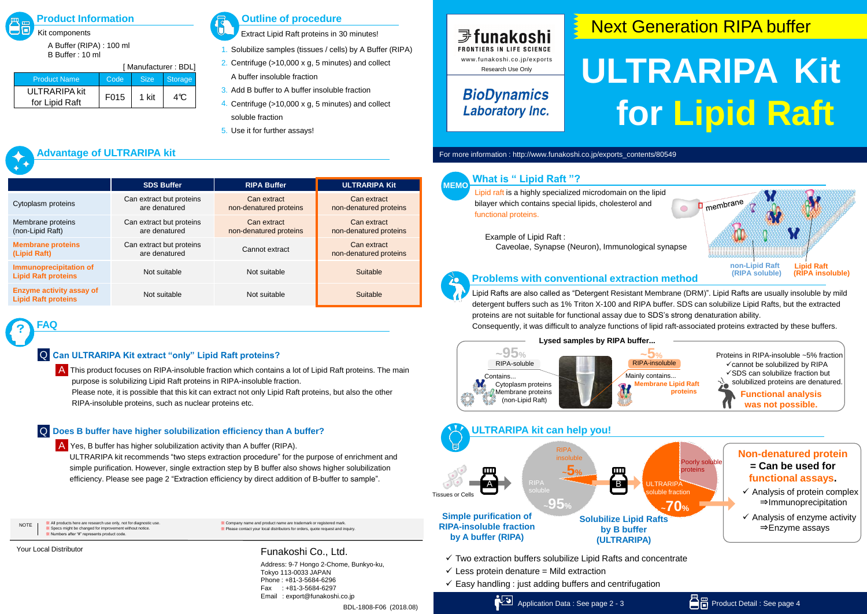# **ULTRARIPA Kit for Lipid Raft**

#### **Problems with conventional extraction method**

**What is " Lipid Raft "?**

**MEMO**



bilayer which contains special lipids, cholesterol and

functional proteins.

Example of Lipid Raft :

Lipid Rafts are also called as "Detergent Resistant Membrane (DRM)". Lipid Rafts are usually insoluble by mild detergent buffers such as 1% Triton X-100 and RIPA buffer. SDS can solubilize Lipid Rafts, but the extracted proteins are not suitable for functional assay due to SDS's strong denaturation ability. Consequently, it was difficult to analyze functions of lipid raft-associated proteins extracted by these buffers.



- $\checkmark$  Less protein denature = Mild extraction
- $\checkmark$  Easy handling : just adding buffers and centrifugation

#### Contains... Cytoplasm proteins **Membrane proteins** (non-Lipid Raft) **~95% Lysed samples by RIPA buffer...**



A Yes, B buffer has higher solubilization activity than A buffer (RIPA). ULTRARIPA kit recommends "two steps extraction procedure" for the purpose of enrichment and simple purification. However, single extraction step by B buffer also shows higher solubilization efficiency. Please see page 2 "Extraction efficiency by direct addition of B-buffer to sample".

« All products here are research use only, not for diagnostic ※ Specs might be changed for improvement without notice. Numbers after "#" represents product code **NOTE** 

A This product focuses on RIPA-insoluble fraction which contains a lot of Lipid Raft proteins. The main purpose is solubilizing Lipid Raft proteins in RIPA-insoluble fraction. Please note, it is possible that this kit can extract not only Lipid Raft proteins, but also the other RIPA-insoluble proteins, such as nuclear proteins etc.



# **Next Generation RIPA buffer**



Kit components A Buffer (RIPA) : 100 ml B Buffer : 10 ml

Extract Lipid Raft proteins in 30 minutes!

- 1. Solubilize samples (tissues / cells) by A Buffer (RIPA)
- 2. Centrifuge  $($ >10,000 x g, 5 minutes) and collect A buffer insoluble fraction
- 3. Add B buffer to A buffer insoluble fraction
- 4. Centrifuge  $($ >10,000 x g, 5 minutes) and collect soluble fraction
- 5. Use it for further assays!

|                                                               | <b>SDS Buffer</b>                         | <b>RIPA Buffer</b>                    | <b>ULTRARIPA Kit</b>                  |
|---------------------------------------------------------------|-------------------------------------------|---------------------------------------|---------------------------------------|
| Cytoplasm proteins                                            | Can extract but proteins<br>are denatured | Can extract<br>non-denatured proteins | Can extract<br>non-denatured proteins |
| Membrane proteins<br>(non-Lipid Raft)                         | Can extract but proteins<br>are denatured | Can extract<br>non-denatured proteins | Can extract<br>non-denatured proteins |
| <b>Membrane proteins</b><br>(Lipid Raft)                      | Can extract but proteins<br>are denatured | Cannot extract                        | Can extract<br>non-denatured proteins |
| <b>Immunoprecipitation of</b><br><b>Lipid Raft proteins</b>   | Not suitable                              | Not suitable                          | Suitable                              |
| <b>Enzyme activity assay of</b><br><b>Lipid Raft proteins</b> | Not suitable                              | Not suitable                          | Suitable                              |

? **FAQ**

#### **Can ULTRARIPA Kit extract "only" Lipid Raft proteins?** Q

#### **Does B buffer have higher solubilization efficiency than A buffer?** Q

# **Advantage of ULTRARIPA kit**



## **BioDynamics Laboratory Inc.**

For more information : http://www.funakoshi.co.jp/exports\_contents/80549

Address: 9-7 Hongo 2-Chome, Bunkyo-ku, Tokyo 113-0033 JAPAN Phone : +81-3-5684-6296 Fax : +81-3-5684-6297 Email : export@funakoshi.co.jp BDL-1808-F06 (2018.08)

※ Company name and product name are trademark or registered mark. ※ Please contact your local distributors for orders, quote request and inquiry.

#### Your Local Distributor **Funakoshi Co., Ltd.**

|                                        | [Manufacturer: BDL] |             |            |  |
|----------------------------------------|---------------------|-------------|------------|--|
| <b>Product Name</b>                    | Code                | <b>Size</b> | Storage    |  |
| <b>ULTRARIPA kit</b><br>for Lipid Raft | F015                | 1 kit       | $4\degree$ |  |



### **Product Information COULD APPEARM** Outline of procedure